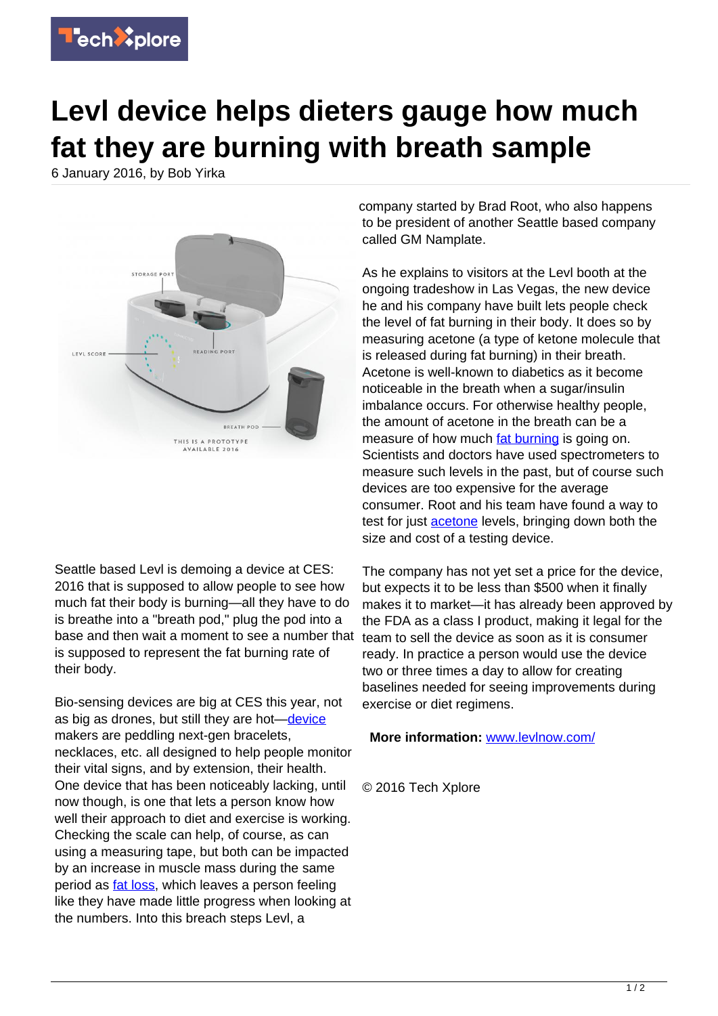

## **Levl device helps dieters gauge how much fat they are burning with breath sample**

6 January 2016, by Bob Yirka



Seattle based Levl is demoing a device at CES: 2016 that is supposed to allow people to see how much fat their body is burning—all they have to do is breathe into a "breath pod," plug the pod into a base and then wait a moment to see a number that is supposed to represent the fat burning rate of their body.

Bio-sensing devices are big at CES this year, not as big as drones, but still they are hot-[device](https://techxplore.com/tags/device/) makers are peddling next-gen bracelets, necklaces, etc. all designed to help people monitor their vital signs, and by extension, their health. One device that has been noticeably lacking, until now though, is one that lets a person know how well their approach to diet and exercise is working. Checking the scale can help, of course, as can using a measuring tape, but both can be impacted by an increase in muscle mass during the same period as *fat loss*, which leaves a person feeling like they have made little progress when looking at the numbers. Into this breach steps Levl, a

company started by Brad Root, who also happens to be president of another Seattle based company called GM Namplate.

As he explains to visitors at the Levl booth at the ongoing tradeshow in Las Vegas, the new device he and his company have built lets people check the level of fat burning in their body. It does so by measuring acetone (a type of ketone molecule that is released during fat burning) in their breath. Acetone is well-known to diabetics as it become noticeable in the breath when a sugar/insulin imbalance occurs. For otherwise healthy people, the amount of acetone in the breath can be a measure of how much [fat burning](https://techxplore.com/tags/fat+burning/) is going on. Scientists and doctors have used spectrometers to measure such levels in the past, but of course such devices are too expensive for the average consumer. Root and his team have found a way to test for just **acetone** levels, bringing down both the size and cost of a testing device.

The company has not yet set a price for the device, but expects it to be less than \$500 when it finally makes it to market—it has already been approved by the FDA as a class I product, making it legal for the team to sell the device as soon as it is consumer ready. In practice a person would use the device two or three times a day to allow for creating baselines needed for seeing improvements during exercise or diet regimens.

**More information:** [www.levlnow.com/](http://www.levlnow.com/)

© 2016 Tech Xplore